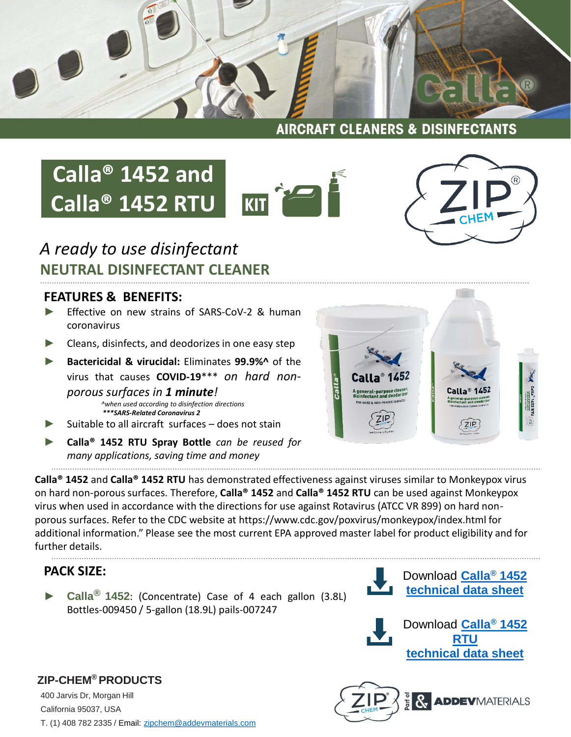

**AIRCRAFT CLEANERS & DISINFECTANTS** 

## **Calla® 1452 and Calla® 1452 RTU**





### *A ready to use disinfectant* **NEUTRAL DISINFECTANT CLEANER**

#### **FEATURES & BENEFITS:**

- Effective on new strains of SARS-CoV-2 & human coronavirus
- ► Cleans, disinfects, and deodorizes in one easy step
- ► **Bactericidal & virucidal:** Eliminates **99.9%^** of the virus that causes **COVID-19**\*\*\* *on hard nonporous surfaces in 1 minute! ^when used according to disinfection directions \*\*\*SARS-Related Coronavirus 2*
- Suitable to all aircraft surfaces does not stain
- ► **Calla® 1452 RTU Spray Bottle** *can be reused for many applications, saving time and money*

**Calla® 1452** and **Calla® 1452 RTU** has demonstrated effectiveness against viruses similar to Monkeypox virus on hard non-porous surfaces. Therefore, **Calla® 1452** and **Calla® 1452 RTU** can be used against Monkeypox virus when used in accordance with the directions for use against Rotavirus (ATCC VR 899) on hard nonporous surfaces. Refer to the CDC website at https://www.cdc.gov/poxvirus/monkeypox/index.html for additional information." Please see the most current EPA approved master label for product eligibility and for further details.

### **PACK SIZE:**

**ZIP-CHEM® PRODUCTS**

► **Calla® 1452**: (Concentrate) Case of 4 each gallon (3.8L) Bottles-009450 / 5-gallon (18.9L) pails-007247



Download **[Calla](https://zipchem.com/wp-content/uploads/2022/06/Calla-1452-Rev20068H.pdf)® 1452 [technical data sheet](https://zipchem.com/wp-content/uploads/2022/06/Calla-1452-Rev20068H.pdf)**





400 Jarvis Dr, Morgan Hill California 95037, USA T. (1) 408 782 2335 / Email: [zipchem@addevmaterials.com](mailto:zipchem@addevmaterials.com)

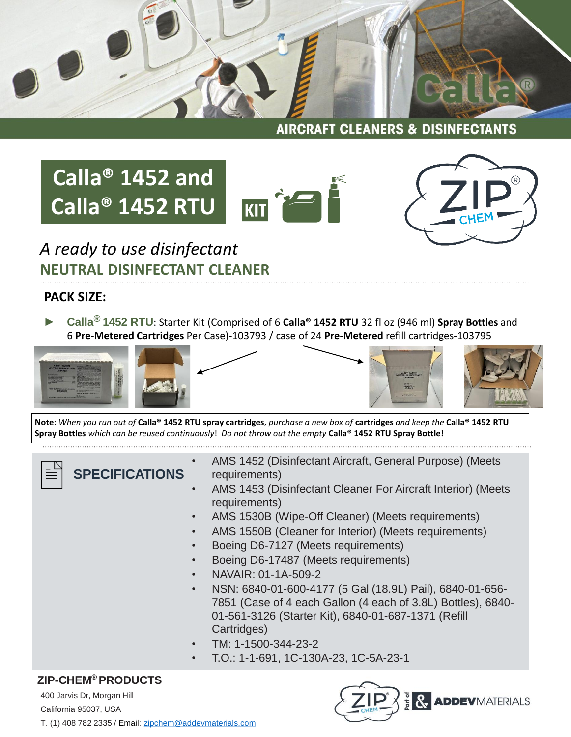

**AIRCRAFT CLEANERS & DISINFECTANTS** 

# **Calla® 1452 and Calla® 1452 RTU**





*A ready to use disinfectant* **NEUTRAL DISINFECTANT CLEANER**

#### **PACK SIZE:**

► **Calla® 1452 RTU**: Starter Kit (Comprised of 6 **Calla® 1452 RTU** 32 fl oz (946 ml) **Spray Bottles** and 6 **Pre-Metered Cartridges** Per Case)-103793 / case of 24 **Pre-Metered** refill cartridges-103795



**Note:** *When you run out of* **Calla® 1452 RTU spray cartridges**, *purchase a new box of* **cartridges** *and keep the* **Calla® 1452 RTU Spray Bottles** *which can be reused continuously*! *Do not throw out the empty* **Calla® 1452 RTU Spray Bottle!**

**SPECIFICATIONS**

- AMS 1452 (Disinfectant Aircraft, General Purpose) (Meets requirements)
- AMS 1453 (Disinfectant Cleaner For Aircraft Interior) (Meets requirements)
	- AMS 1530B (Wipe-Off Cleaner) (Meets requirements)
- AMS 1550B (Cleaner for Interior) (Meets requirements)
- Boeing D6-7127 (Meets requirements)
- Boeing D6-17487 (Meets requirements)
- NAVAIR: 01-1A-509-2
- NSN: 6840-01-600-4177 (5 Gal (18.9L) Pail), 6840-01-656- 7851 (Case of 4 each Gallon (4 each of 3.8L) Bottles), 6840- 01-561-3126 (Starter Kit), 6840-01-687-1371 (Refill Cartridges)
- TM: 1-1500-344-23-2
	- T.O.: 1-1-691, 1C-130A-23, 1C-5A-23-1

#### **ZIP-CHEM® PRODUCTS**

400 Jarvis Dr, Morgan Hill California 95037, USA T. (1) 408 782 2335 / Email: [zipchem@addevmaterials.com](mailto:zipchem@addevmaterials.com)